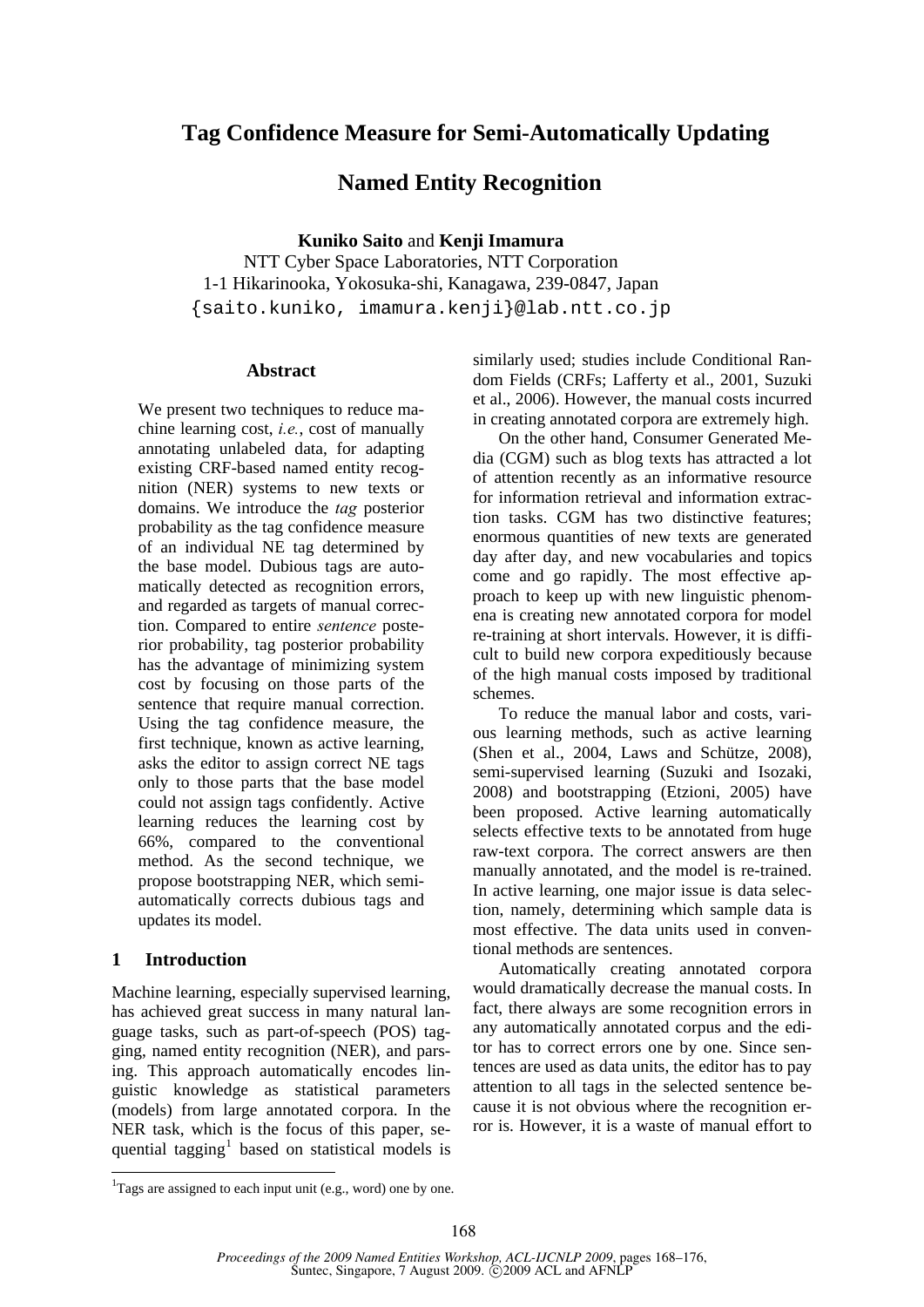# **Tag Confidence Measure for Semi-Automatically Updating**

# **Named Entity Recognition**

**Kuniko Saito** and **Kenji Imamura** 

NTT Cyber Space Laboratories, NTT Corporation 1-1 Hikarinooka, Yokosuka-shi, Kanagawa, 239-0847, Japan {saito.kuniko, imamura.kenji}@lab.ntt.co.jp

## **Abstract**

We present two techniques to reduce machine learning cost, *i.e.*, cost of manually annotating unlabeled data, for adapting existing CRF-based named entity recognition (NER) systems to new texts or domains. We introduce the *tag* posterior probability as the tag confidence measure of an individual NE tag determined by the base model. Dubious tags are automatically detected as recognition errors, and regarded as targets of manual correction. Compared to entire *sentence* posterior probability, tag posterior probability has the advantage of minimizing system cost by focusing on those parts of the sentence that require manual correction. Using the tag confidence measure, the first technique, known as active learning, asks the editor to assign correct NE tags only to those parts that the base model could not assign tags confidently. Active learning reduces the learning cost by 66%, compared to the conventional method. As the second technique, we propose bootstrapping NER, which semiautomatically corrects dubious tags and updates its model.

## **1 Introduction**

1

Machine learning, especially supervised learning, has achieved great success in many natural language tasks, such as part-of-speech (POS) tagging, named entity recognition (NER), and parsing. This approach automatically encodes linguistic knowledge as statistical parameters (models) from large annotated corpora. In the NER task, which is the focus of this paper, sequential tagging<sup>1</sup> based on statistical models is similarly used; studies include Conditional Random Fields (CRFs; Lafferty et al., 2001, Suzuki et al., 2006). However, the manual costs incurred in creating annotated corpora are extremely high.

On the other hand, Consumer Generated Media (CGM) such as blog texts has attracted a lot of attention recently as an informative resource for information retrieval and information extraction tasks. CGM has two distinctive features; enormous quantities of new texts are generated day after day, and new vocabularies and topics come and go rapidly. The most effective approach to keep up with new linguistic phenomena is creating new annotated corpora for model re-training at short intervals. However, it is difficult to build new corpora expeditiously because of the high manual costs imposed by traditional schemes.

 To reduce the manual labor and costs, various learning methods, such as active learning (Shen et al., 2004, Laws and Schütze, 2008), semi-supervised learning (Suzuki and Isozaki, 2008) and bootstrapping (Etzioni, 2005) have been proposed. Active learning automatically selects effective texts to be annotated from huge raw-text corpora. The correct answers are then manually annotated, and the model is re-trained. In active learning, one major issue is data selection, namely, determining which sample data is most effective. The data units used in conventional methods are sentences.

 Automatically creating annotated corpora would dramatically decrease the manual costs. In fact, there always are some recognition errors in any automatically annotated corpus and the editor has to correct errors one by one. Since sentences are used as data units, the editor has to pay attention to all tags in the selected sentence because it is not obvious where the recognition error is. However, it is a waste of manual effort to

 ${}^{1}$ Tags are assigned to each input unit (e.g., word) one by one.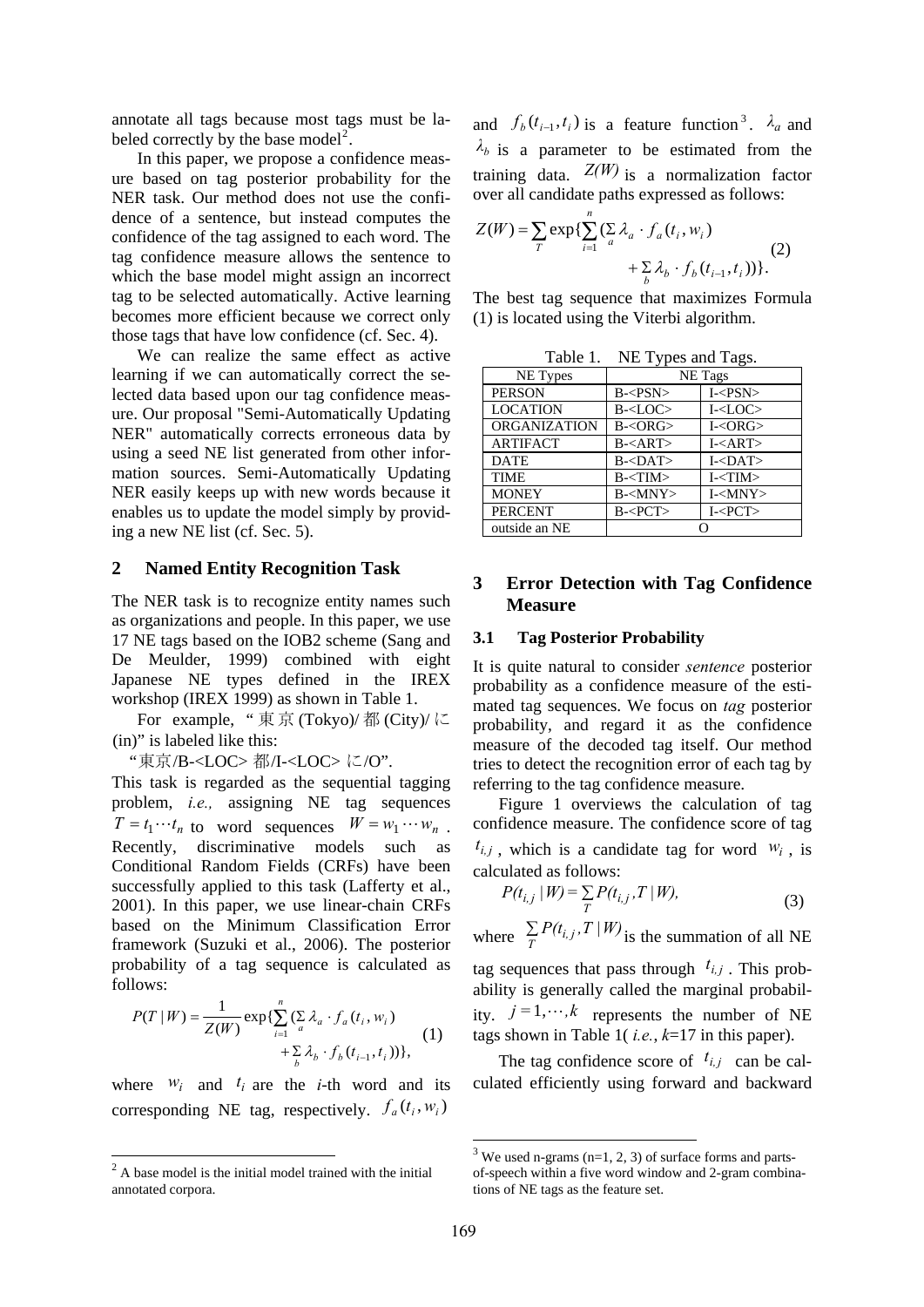annotate all tags because most tags must be labeled correctly by the base model<sup>2</sup>.

In this paper, we propose a confidence measure based on tag posterior probability for the NER task. Our method does not use the confidence of a sentence, but instead computes the confidence of the tag assigned to each word. The tag confidence measure allows the sentence to which the base model might assign an incorrect tag to be selected automatically. Active learning becomes more efficient because we correct only those tags that have low confidence (cf. Sec. 4).

We can realize the same effect as active learning if we can automatically correct the selected data based upon our tag confidence measure. Our proposal "Semi-Automatically Updating NER" automatically corrects erroneous data by using a seed NE list generated from other information sources. Semi-Automatically Updating NER easily keeps up with new words because it enables us to update the model simply by providing a new NE list (cf. Sec. 5).

## **2 Named Entity Recognition Task**

The NER task is to recognize entity names such as organizations and people. In this paper, we use 17 NE tags based on the IOB2 scheme (Sang and De Meulder, 1999) combined with eight Japanese NE types defined in the IREX workshop (IREX 1999) as shown in Table 1.

For example, " 東 京 (Tokyo)/ 都 (City)/ に (in)" is labeled like this:

"東京/B-<LOC> 都/I-<LOC> に/O".

This task is regarded as the sequential tagging problem, *i.e.,* assigning NE tag sequences  $T = t_1 \cdots t_n$  to word sequences  $W = w_1 \cdots w_n$ . Recently, discriminative models such as Conditional Random Fields (CRFs) have been successfully applied to this task (Lafferty et al., 2001). In this paper, we use linear-chain CRFs based on the Minimum Classification Error framework (Suzuki et al., 2006). The posterior probability of a tag sequence is calculated as follows:

$$
P(T | W) = \frac{1}{Z(W)} \exp{\{\sum_{i=1}^{n} (\sum_{a} \lambda_a \cdot f_a(t_i, w_i) + \sum_{b} \lambda_b \cdot f_b(t_{i-1}, t_i))\}},
$$
 (1)

where  $W_i$  and  $t_i$  are the *i*-th word and its corresponding NE tag, respectively.  $f_a(t_i, w_i)$ 

and  $f_b(t_{i-1}, t_i)$  is a feature function<sup>3</sup>.  $\lambda_a$  and  $\lambda_b$  is a parameter to be estimated from the training data.  $Z(W)$  is a normalization factor over all candidate paths expressed as follows:

$$
Z(W) = \sum_{T} \exp\{\sum_{i=1}^{n} (\sum_{a} \lambda_a \cdot f_a(t_i, w_i) + \sum_{b} \lambda_b \cdot f_b(t_{i-1}, t_i))\}.
$$
 (2)

The best tag sequence that maximizes Formula (1) is located using the Viterbi algorithm.

|  | Table 1. | NE Types and Tags. |
|--|----------|--------------------|
|--|----------|--------------------|

| NE Types            | ╯┖<br>- 0<br>NE Tags |                       |  |
|---------------------|----------------------|-----------------------|--|
| <b>PERSON</b>       | B < PSN              | $I - <$ PSN $>$       |  |
| <b>LOCATION</b>     | $B - <$ LOC $>$      | $I<$ LOC $>$          |  |
| <b>ORGANIZATION</b> | B < ORG              | I <org< td=""></org<> |  |
| <b>ARTIFACT</b>     | $B = $               | I <art></art>         |  |
| <b>DATE</b>         | $B <$ DAT $>$        | $I<DAT$               |  |
| <b>TIME</b>         | B < TIM              | $I - < TIM$           |  |
| <b>MONEY</b>        | $B<$ MNY $>$         | $I<$ MNY $>$          |  |
| <b>PERCENT</b>      | B < PCT              | I < PCT               |  |
| outside an NE       |                      |                       |  |

## **3 Error Detection with Tag Confidence Measure**

#### **3.1 Tag Posterior Probability**

It is quite natural to consider *sentence* posterior probability as a confidence measure of the estimated tag sequences. We focus on *tag* posterior probability, and regard it as the confidence measure of the decoded tag itself. Our method tries to detect the recognition error of each tag by referring to the tag confidence measure.

Figure 1 overviews the calculation of tag confidence measure. The confidence score of tag  $t_{i,j}$ , which is a candidate tag for word  $w_i$ , is calculated as follows:

$$
P(t_{i,j} | W) = \sum_{T} P(t_{i,j}, T | W),
$$
\n(3)

where  $\sum_{T} P(t_{i,j}, T | W)$  is the summation of all NE tag sequences that pass through  $t_{i,j}$ . This probability is generally called the marginal probability.  $j=1,\dots,k$  represents the number of NE tags shown in Table 1( *i.e.*, *k*=17 in this paper).

The tag confidence score of  $t_{i,j}$  can be calculated efficiently using forward and backward

1

 $\frac{1}{2}$  A base model is the initial model trained with the initial annotated corpora.

 $3$  We used n-grams (n=1, 2, 3) of surface forms and partsof-speech within a five word window and 2-gram combinations of NE tags as the feature set.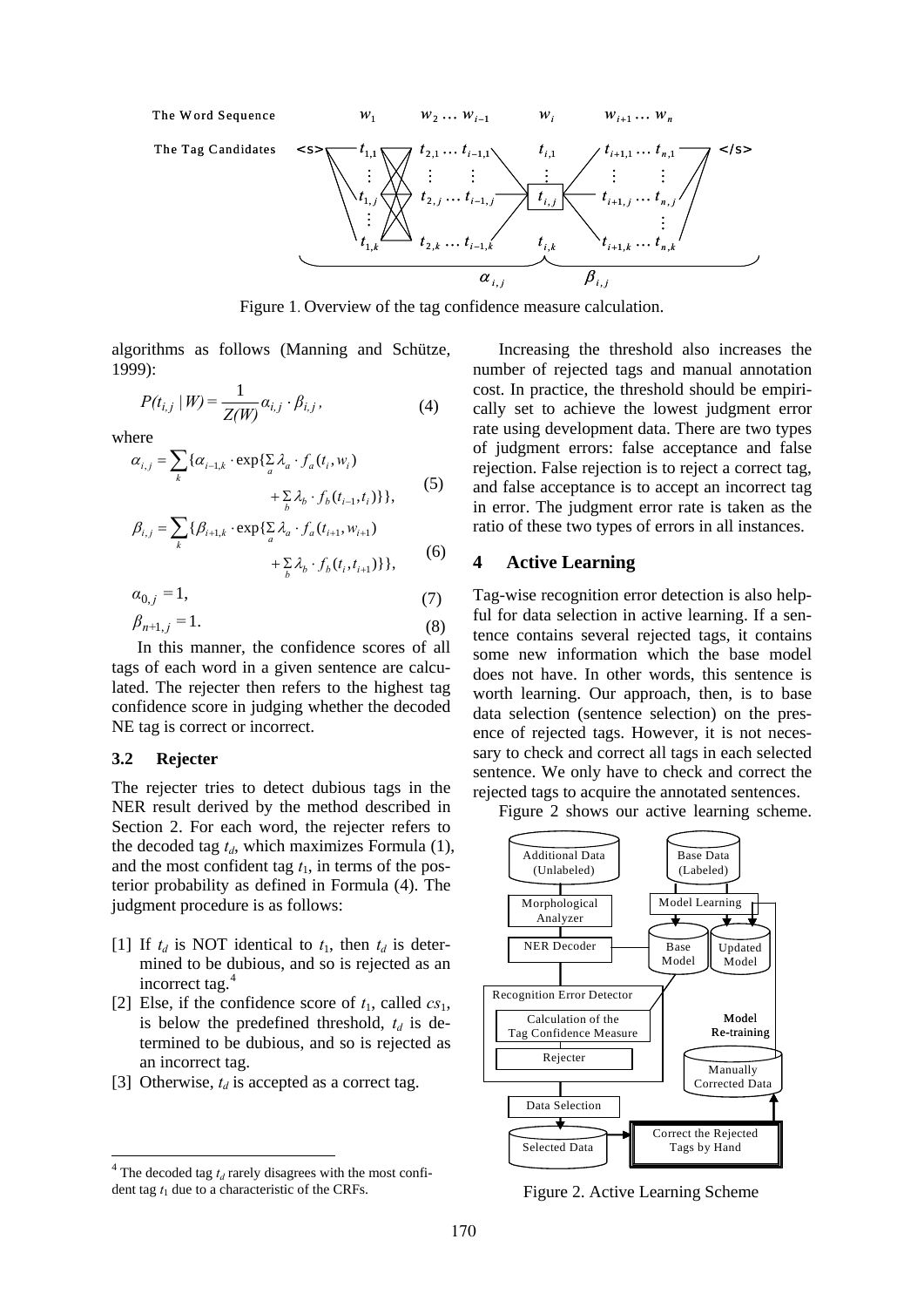

Figure 1. Overview of the tag confidence measure calculation.

algorithms as follows (Manning and Schütze, 1999):

$$
P(t_{i,j} | W) = \frac{1}{Z(W)} \alpha_{i,j} \cdot \beta_{i,j},
$$
 (4)

where

$$
\alpha_{i,j} = \sum_{k} {\alpha_{i-1,k} \cdot \exp\{\sum_{a} \lambda_a \cdot f_a(t_i, w_i) + \sum_{b} \lambda_b \cdot f_b(t_{i-1}, t_i)\}},
$$
\n(5)

$$
\beta_{i,j} = \sum_{k} \{ \beta_{i+1,k} \cdot \exp\{\sum_{a} \lambda_a \cdot f_a(t_{i+1}, w_{i+1}) + \sum_{b} \lambda_b \cdot f_b(t_i, t_{i+1}) \} \},
$$
(6)

 $\alpha_{0,j} = 1,$  (7)

$$
\beta_{n+1,j} = 1. \tag{8}
$$

In this manner, the confidence scores of all tags of each word in a given sentence are calculated. The rejecter then refers to the highest tag confidence score in judging whether the decoded NE tag is correct or incorrect.

## **3.2 Rejecter**

-

The rejecter tries to detect dubious tags in the NER result derived by the method described in Section 2. For each word, the rejecter refers to the decoded tag  $t_d$ , which maximizes Formula  $(1)$ , and the most confident tag  $t_1$ , in terms of the posterior probability as defined in Formula (4). The judgment procedure is as follows:

- [1] If  $t_d$  is NOT identical to  $t_1$ , then  $t_d$  is determined to be dubious, and so is rejected as an incorrect tag.<sup>4</sup>
- [2] Else, if the confidence score of  $t_1$ , called  $cs_1$ , is below the predefined threshold,  $t_d$  is determined to be dubious, and so is rejected as an incorrect tag.
- [3] Otherwise,  $t_d$  is accepted as a correct tag.

Increasing the threshold also increases the number of rejected tags and manual annotation cost. In practice, the threshold should be empirically set to achieve the lowest judgment error rate using development data. There are two types of judgment errors: false acceptance and false rejection. False rejection is to reject a correct tag, and false acceptance is to accept an incorrect tag in error. The judgment error rate is taken as the ratio of these two types of errors in all instances.

## **4 Active Learning**

Tag-wise recognition error detection is also helpful for data selection in active learning. If a sentence contains several rejected tags, it contains some new information which the base model does not have. In other words, this sentence is worth learning. Our approach, then, is to base data selection (sentence selection) on the presence of rejected tags. However, it is not necessary to check and correct all tags in each selected sentence. We only have to check and correct the rejected tags to acquire the annotated sentences.

Figure 2 shows our active learning scheme.



Figure 2. Active Learning Scheme

 $4$ <sup>4</sup> The decoded tag  $t_d$  rarely disagrees with the most confident tag  $t_1$  due to a characteristic of the CRFs.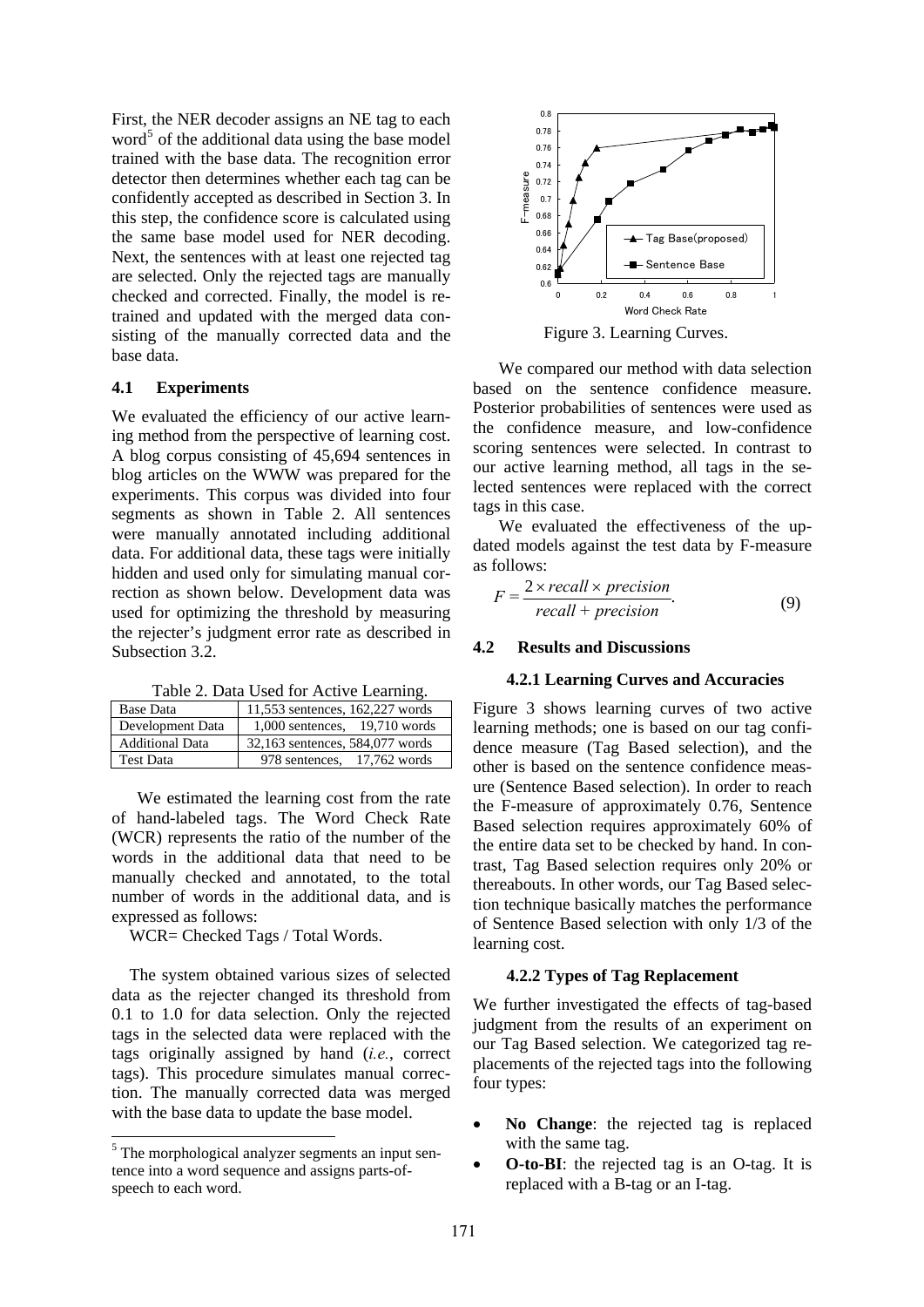First, the NER decoder assigns an NE tag to each word<sup>5</sup> of the additional data using the base model trained with the base data. The recognition error detector then determines whether each tag can be confidently accepted as described in Section 3. In this step, the confidence score is calculated using the same base model used for NER decoding. Next, the sentences with at least one rejected tag are selected. Only the rejected tags are manually checked and corrected. Finally, the model is retrained and updated with the merged data consisting of the manually corrected data and the base data.

#### **4.1 Experiments**

We evaluated the efficiency of our active learning method from the perspective of learning cost. A blog corpus consisting of 45,694 sentences in blog articles on the WWW was prepared for the experiments. This corpus was divided into four segments as shown in Table 2. All sentences were manually annotated including additional data. For additional data, these tags were initially hidden and used only for simulating manual correction as shown below. Development data was used for optimizing the threshold by measuring the rejecter's judgment error rate as described in Subsection 3.2.

Table 2. Data Used for Active Learning.

| <b>Base Data</b>       | 11,553 sentences, 162,227 words   |
|------------------------|-----------------------------------|
| Development Data       | $1,000$ sentences, $19,710$ words |
| <b>Additional Data</b> | 32,163 sentences, 584,077 words   |
| <b>Test Data</b>       | 978 sentences, 17.762 words       |

We estimated the learning cost from the rate of hand-labeled tags. The Word Check Rate (WCR) represents the ratio of the number of the words in the additional data that need to be manually checked and annotated, to the total number of words in the additional data, and is expressed as follows:

WCR= Checked Tags / Total Words.

The system obtained various sizes of selected data as the rejecter changed its threshold from 0.1 to 1.0 for data selection. Only the rejected tags in the selected data were replaced with the tags originally assigned by hand (*i.e.*, correct tags). This procedure simulates manual correction. The manually corrected data was merged with the base data to update the base model.

-



Figure 3. Learning Curves.

We compared our method with data selection based on the sentence confidence measure. Posterior probabilities of sentences were used as the confidence measure, and low-confidence scoring sentences were selected. In contrast to our active learning method, all tags in the selected sentences were replaced with the correct tags in this case.

We evaluated the effectiveness of the updated models against the test data by F-measure as follows:

$$
F = \frac{2 \times recall \times precision}{recall + precision}.
$$
 (9)

## **4.2 Results and Discussions**

#### **4.2.1 Learning Curves and Accuracies**

Figure 3 shows learning curves of two active learning methods; one is based on our tag confidence measure (Tag Based selection), and the other is based on the sentence confidence measure (Sentence Based selection). In order to reach the F-measure of approximately 0.76, Sentence Based selection requires approximately 60% of the entire data set to be checked by hand. In contrast, Tag Based selection requires only 20% or thereabouts. In other words, our Tag Based selection technique basically matches the performance of Sentence Based selection with only 1/3 of the learning cost.

## **4.2.2 Types of Tag Replacement**

We further investigated the effects of tag-based judgment from the results of an experiment on our Tag Based selection. We categorized tag replacements of the rejected tags into the following four types:

- **No Change**: the rejected tag is replaced with the same tag.
- **O-to-BI**: the rejected tag is an O-tag. It is replaced with a B-tag or an I-tag.

<sup>&</sup>lt;sup>5</sup> The morphological analyzer segments an input sentence into a word sequence and assigns parts-ofspeech to each word.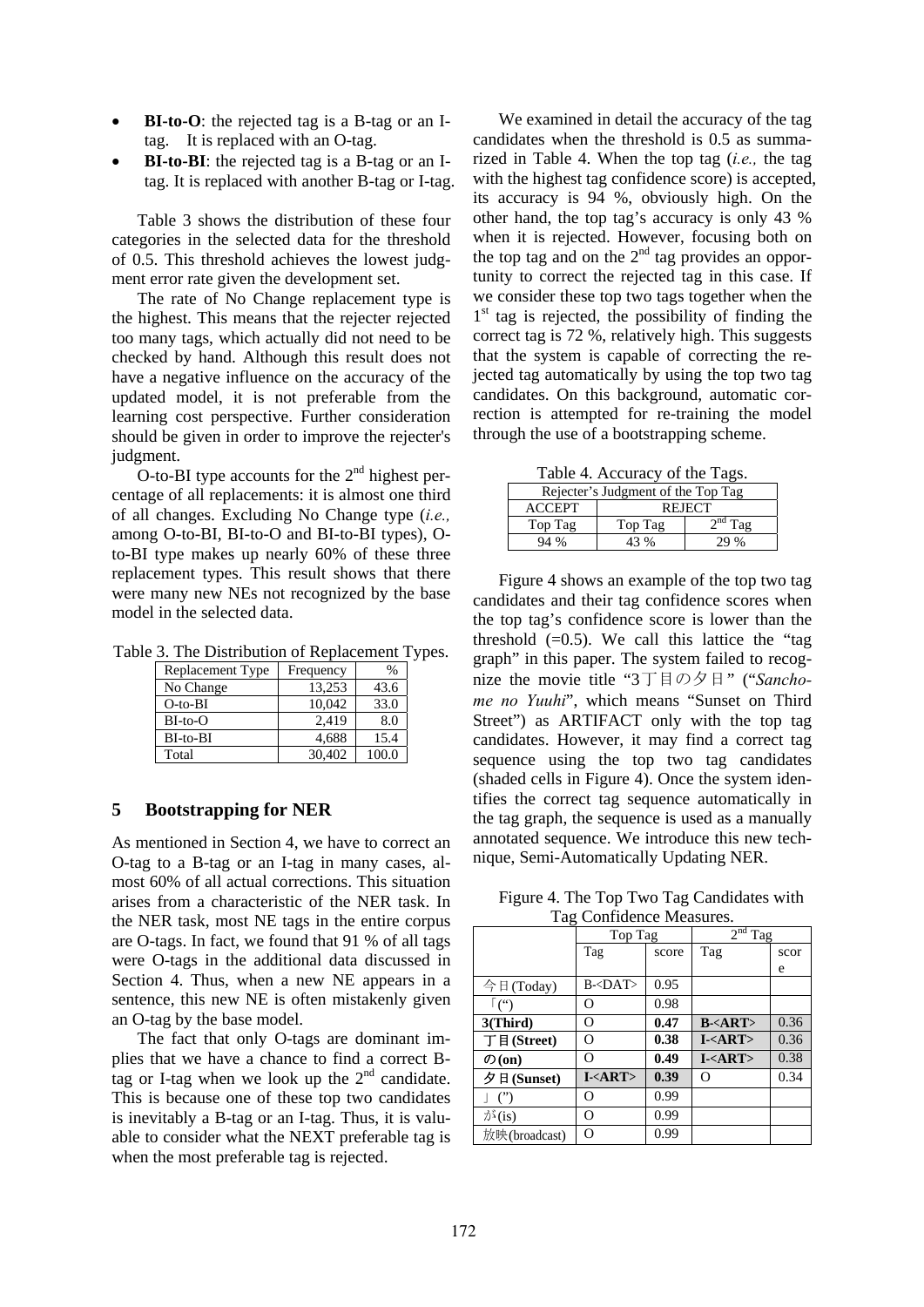- **BI-to-O**: the rejected tag is a B-tag or an Itag. It is replaced with an O-tag.
- **BI-to-BI**: the rejected tag is a B-tag or an Itag. It is replaced with another B-tag or I-tag.

Table 3 shows the distribution of these four categories in the selected data for the threshold of 0.5. This threshold achieves the lowest judgment error rate given the development set.

The rate of No Change replacement type is the highest. This means that the rejecter rejected too many tags, which actually did not need to be checked by hand. Although this result does not have a negative influence on the accuracy of the updated model, it is not preferable from the learning cost perspective. Further consideration should be given in order to improve the rejecter's judgment.

O-to-BI type accounts for the  $2<sup>nd</sup>$  highest percentage of all replacements: it is almost one third of all changes. Excluding No Change type (*i.e.,* among O-to-BI, BI-to-O and BI-to-BI types), Oto-BI type makes up nearly 60% of these three replacement types. This result shows that there were many new NEs not recognized by the base model in the selected data.

Table 3. The Distribution of Replacement Types.

| Replacement Type | Frequency | $\%$  |
|------------------|-----------|-------|
| No Change        | 13.253    | 43.6  |
| $O$ -to-BI       | 10.042    | 33.0  |
| $BI-to-O$        | 2,419     | 8.0   |
| $BI-to-BI$       | 4.688     | 15.4  |
| Total            | 30.402    | 100.0 |

## **5 Bootstrapping for NER**

As mentioned in Section 4, we have to correct an O-tag to a B-tag or an I-tag in many cases, almost 60% of all actual corrections. This situation arises from a characteristic of the NER task. In the NER task, most NE tags in the entire corpus are O-tags. In fact, we found that 91 % of all tags were O-tags in the additional data discussed in Section 4. Thus, when a new NE appears in a sentence, this new NE is often mistakenly given an O-tag by the base model.

The fact that only O-tags are dominant implies that we have a chance to find a correct Btag or I-tag when we look up the  $2<sup>nd</sup>$  candidate. This is because one of these top two candidates is inevitably a B-tag or an I-tag. Thus, it is valuable to consider what the NEXT preferable tag is when the most preferable tag is rejected.

We examined in detail the accuracy of the tag candidates when the threshold is 0.5 as summarized in Table 4. When the top tag (*i.e.,* the tag with the highest tag confidence score) is accepted, its accuracy is 94 %, obviously high. On the other hand, the top tag's accuracy is only 43 % when it is rejected. However, focusing both on the top tag and on the  $2<sup>nd</sup>$  tag provides an opportunity to correct the rejected tag in this case. If we consider these top two tags together when the  $1<sup>st</sup>$  tag is rejected, the possibility of finding the correct tag is 72 %, relatively high. This suggests that the system is capable of correcting the rejected tag automatically by using the top two tag candidates. On this background, automatic correction is attempted for re-training the model through the use of a bootstrapping scheme.

Table 4. Accuracy of the Tags.

| $14000 + 110000000$                |               |              |  |  |
|------------------------------------|---------------|--------------|--|--|
| Rejecter's Judgment of the Top Tag |               |              |  |  |
| <b>ACCEPT</b>                      | <b>REJECT</b> |              |  |  |
| Top Tag                            | Top Tag       | $2^{nd}$ Tag |  |  |
| 94%                                | 43 %          | 29%          |  |  |

Figure 4 shows an example of the top two tag candidates and their tag confidence scores when the top tag's confidence score is lower than the threshold  $(=0.5)$ . We call this lattice the "tag graph" in this paper. The system failed to recognize the movie title "3丁目の夕日" ("*Sanchome no Yuuhi*", which means "Sunset on Third Street") as ARTIFACT only with the top tag candidates. However, it may find a correct tag sequence using the top two tag candidates (shaded cells in Figure 4). Once the system identifies the correct tag sequence automatically in the tag graph, the sequence is used as a manually annotated sequence. We introduce this new technique, Semi-Automatically Updating NER.

Figure 4. The Top Two Tag Candidates with Tag Confidence Measures.

|                   | Top Tag       |       | $2nd$ Tag                 |      |
|-------------------|---------------|-------|---------------------------|------|
|                   | Tag           | score | Tag                       | scor |
|                   |               |       |                           | e    |
| 今日(Today)         | $B <$ DAT>    | 0.95  |                           |      |
| ∫('')             | O             | 0.98  |                           |      |
| 3(Third)          | O             | 0.47  | $B - < ART$               | 0.36 |
| 丁目(Street)        | O             | 0.38  | $I - \langle ART \rangle$ | 0.36 |
| $\mathcal{D}(on)$ | O             | 0.49  | $I - \langle ART \rangle$ | 0.38 |
| 夕日(Sunset)        | I <art></art> | 0.39  | Ω                         | 0.34 |
|                   | Ω             | 0.99  |                           |      |
| $\dot{\psi}$ (is) | $\Omega$      | 0.99  |                           |      |
| 放映(broadcast)     | O             | 0.99  |                           |      |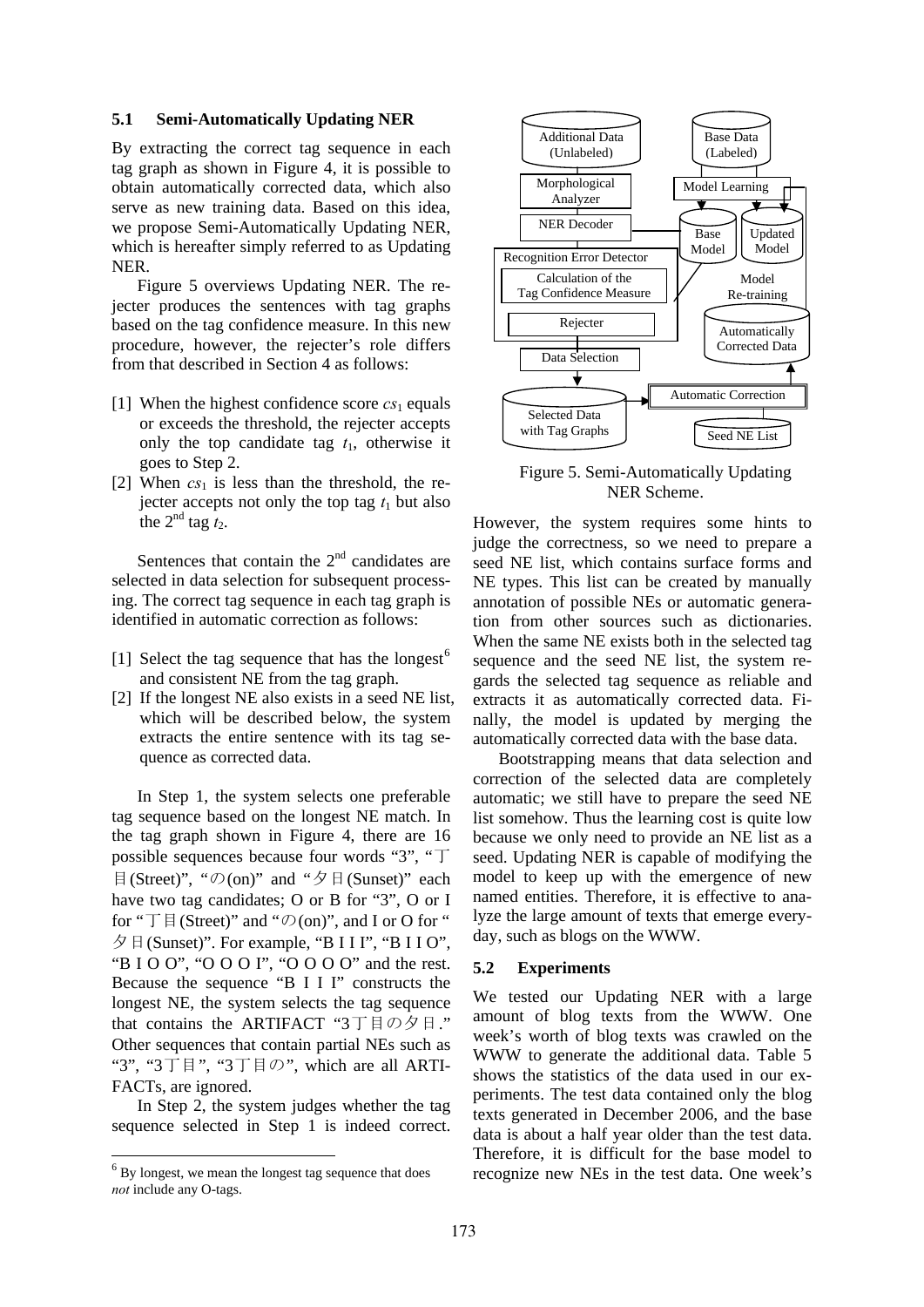#### **5.1 Semi-Automatically Updating NER**

By extracting the correct tag sequence in each tag graph as shown in Figure 4, it is possible to obtain automatically corrected data, which also serve as new training data. Based on this idea, we propose Semi-Automatically Updating NER, which is hereafter simply referred to as Updating NER.

Figure 5 overviews Updating NER. The rejecter produces the sentences with tag graphs based on the tag confidence measure. In this new procedure, however, the rejecter's role differs from that described in Section 4 as follows:

- [1] When the highest confidence score  $cs_1$  equals or exceeds the threshold, the rejecter accepts only the top candidate tag  $t_1$ , otherwise it goes to Step 2.
- [2] When  $cs<sub>1</sub>$  is less than the threshold, the rejecter accepts not only the top tag  $t_1$  but also the  $2^{nd}$  tag  $t_2$ .

Sentences that contain the  $2<sup>nd</sup>$  candidates are selected in data selection for subsequent processing. The correct tag sequence in each tag graph is identified in automatic correction as follows:

- [1] Select the tag sequence that has the longest<sup>6</sup> and consistent NE from the tag graph.
- [2] If the longest NE also exists in a seed NE list, which will be described below, the system extracts the entire sentence with its tag sequence as corrected data.

In Step 1, the system selects one preferable tag sequence based on the longest NE match. In the tag graph shown in Figure 4, there are 16 possible sequences because four words "3", "丁 目(Street)", " $\mathcal{O}(\text{on})$ " and " $\mathcal{O}(\text{Sunset})$ " each have two tag candidates; O or B for "3", O or I for " $\top \boxplus$  (Street)" and " $\mathcal{O}$  (on)", and I or O for "  $\oint \mathbb{E}$  (Sunset)". For example, "B I I I", "B I I O", "B I O O", "O O O I", "O O O O" and the rest. Because the sequence "B I I I" constructs the longest NE, the system selects the tag sequence that contains the ARTIFACT "3丁目の夕日." Other sequences that contain partial NEs such as "3", "3丁目", "3丁目の", which are all ARTI-FACTs, are ignored.

In Step 2, the system judges whether the tag sequence selected in Step 1 is indeed correct.

-



Figure 5. Semi-Automatically Updating NER Scheme.

However, the system requires some hints to judge the correctness, so we need to prepare a seed NE list, which contains surface forms and NE types. This list can be created by manually annotation of possible NEs or automatic generation from other sources such as dictionaries. When the same NE exists both in the selected tag sequence and the seed NE list, the system regards the selected tag sequence as reliable and extracts it as automatically corrected data. Finally, the model is updated by merging the automatically corrected data with the base data.

Bootstrapping means that data selection and correction of the selected data are completely automatic; we still have to prepare the seed NE list somehow. Thus the learning cost is quite low because we only need to provide an NE list as a seed. Updating NER is capable of modifying the model to keep up with the emergence of new named entities. Therefore, it is effective to analyze the large amount of texts that emerge everyday, such as blogs on the WWW.

#### **5.2 Experiments**

We tested our Updating NER with a large amount of blog texts from the WWW. One week's worth of blog texts was crawled on the WWW to generate the additional data. Table 5 shows the statistics of the data used in our experiments. The test data contained only the blog texts generated in December 2006, and the base data is about a half year older than the test data. Therefore, it is difficult for the base model to recognize new NEs in the test data. One week's

<sup>&</sup>lt;sup>6</sup> By longest, we mean the longest tag sequence that does *not* include any O-tags.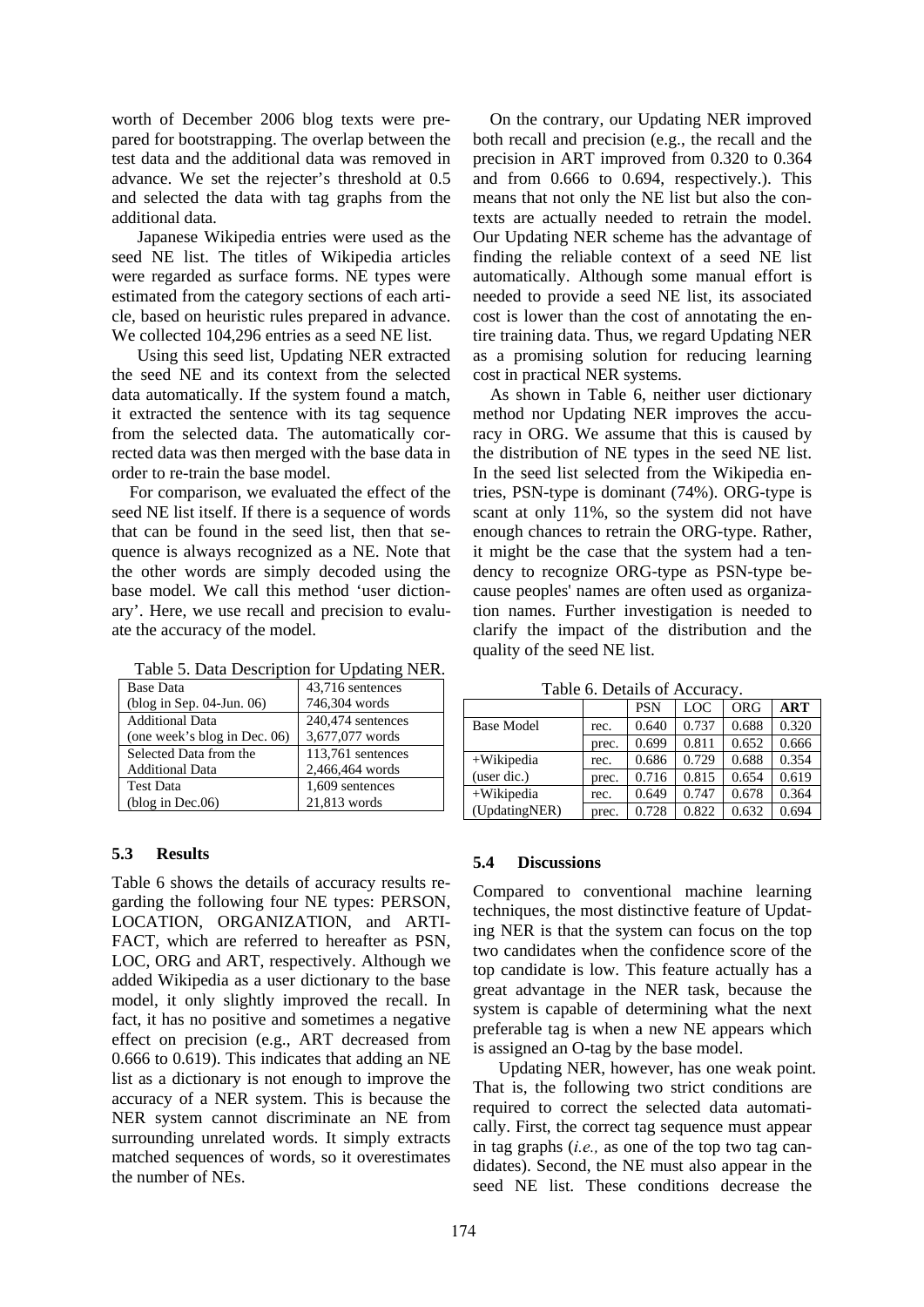worth of December 2006 blog texts were prepared for bootstrapping. The overlap between the test data and the additional data was removed in advance. We set the rejecter's threshold at 0.5 and selected the data with tag graphs from the additional data.

Japanese Wikipedia entries were used as the seed NE list. The titles of Wikipedia articles were regarded as surface forms. NE types were estimated from the category sections of each article, based on heuristic rules prepared in advance. We collected 104,296 entries as a seed NE list.

Using this seed list, Updating NER extracted the seed NE and its context from the selected data automatically. If the system found a match, it extracted the sentence with its tag sequence from the selected data. The automatically corrected data was then merged with the base data in order to re-train the base model.

For comparison, we evaluated the effect of the seed NE list itself. If there is a sequence of words that can be found in the seed list, then that sequence is always recognized as a NE. Note that the other words are simply decoded using the base model. We call this method 'user dictionary'. Here, we use recall and precision to evaluate the accuracy of the model.

| rapic 5. Data Description for Opaging Fight. |                   |
|----------------------------------------------|-------------------|
| <b>Base Data</b>                             | 43,716 sentences  |
| $(blog in Sep. 04-Jun. 06)$                  | 746,304 words     |
| <b>Additional Data</b>                       | 240,474 sentences |
| (one week's blog in Dec. 06)                 | 3,677,077 words   |
| Selected Data from the                       | 113,761 sentences |
| <b>Additional Data</b>                       | 2,466,464 words   |
| <b>Test Data</b>                             | 1,609 sentences   |
| (blog in Dec.06)                             | 21,813 words      |

Table 5. Data Description for Updating NER

## **5.3 Results**

Table 6 shows the details of accuracy results regarding the following four NE types: PERSON, LOCATION, ORGANIZATION, and ARTI-FACT, which are referred to hereafter as PSN, LOC, ORG and ART, respectively. Although we added Wikipedia as a user dictionary to the base model, it only slightly improved the recall. In fact, it has no positive and sometimes a negative effect on precision (e.g., ART decreased from 0.666 to 0.619). This indicates that adding an NE list as a dictionary is not enough to improve the accuracy of a NER system. This is because the NER system cannot discriminate an NE from surrounding unrelated words. It simply extracts matched sequences of words, so it overestimates the number of NEs.

On the contrary, our Updating NER improved both recall and precision (e.g., the recall and the precision in ART improved from 0.320 to 0.364 and from 0.666 to 0.694, respectively.). This means that not only the NE list but also the contexts are actually needed to retrain the model. Our Updating NER scheme has the advantage of finding the reliable context of a seed NE list automatically. Although some manual effort is needed to provide a seed NE list, its associated cost is lower than the cost of annotating the entire training data. Thus, we regard Updating NER as a promising solution for reducing learning cost in practical NER systems.

 As shown in Table 6, neither user dictionary method nor Updating NER improves the accuracy in ORG. We assume that this is caused by the distribution of NE types in the seed NE list. In the seed list selected from the Wikipedia entries, PSN-type is dominant (74%). ORG-type is scant at only 11%, so the system did not have enough chances to retrain the ORG-type. Rather, it might be the case that the system had a tendency to recognize ORG-type as PSN-type because peoples' names are often used as organization names. Further investigation is needed to clarify the impact of the distribution and the quality of the seed NE list.

Table 6. Details of Accuracy.

| 1 acie 0. Deans 01 : 1ecanae |       |            |       |       |            |
|------------------------------|-------|------------|-------|-------|------------|
|                              |       | <b>PSN</b> | LOC.  | ORG   | <b>ART</b> |
| <b>Base Model</b>            | rec.  | 0.640      | 0.737 | 0.688 | 0.320      |
|                              | prec. | 0.699      | 0.811 | 0.652 | 0.666      |
| $+W$ ikipedia                | rec.  | 0.686      | 0.729 | 0.688 | 0.354      |
| (user dic.)                  | prec. | 0.716      | 0.815 | 0.654 | 0.619      |
| $+W$ ikipedia                | rec.  | 0.649      | 0.747 | 0.678 | 0.364      |
| (UpdatingNER)                | prec. | 0.728      | 0.822 | 0.632 | 0.694      |

## **5.4 Discussions**

Compared to conventional machine learning techniques, the most distinctive feature of Updating NER is that the system can focus on the top two candidates when the confidence score of the top candidate is low. This feature actually has a great advantage in the NER task, because the system is capable of determining what the next preferable tag is when a new NE appears which is assigned an O-tag by the base model.

 Updating NER, however, has one weak point. That is, the following two strict conditions are required to correct the selected data automatically. First, the correct tag sequence must appear in tag graphs (*i.e.,* as one of the top two tag candidates). Second, the NE must also appear in the seed NE list. These conditions decrease the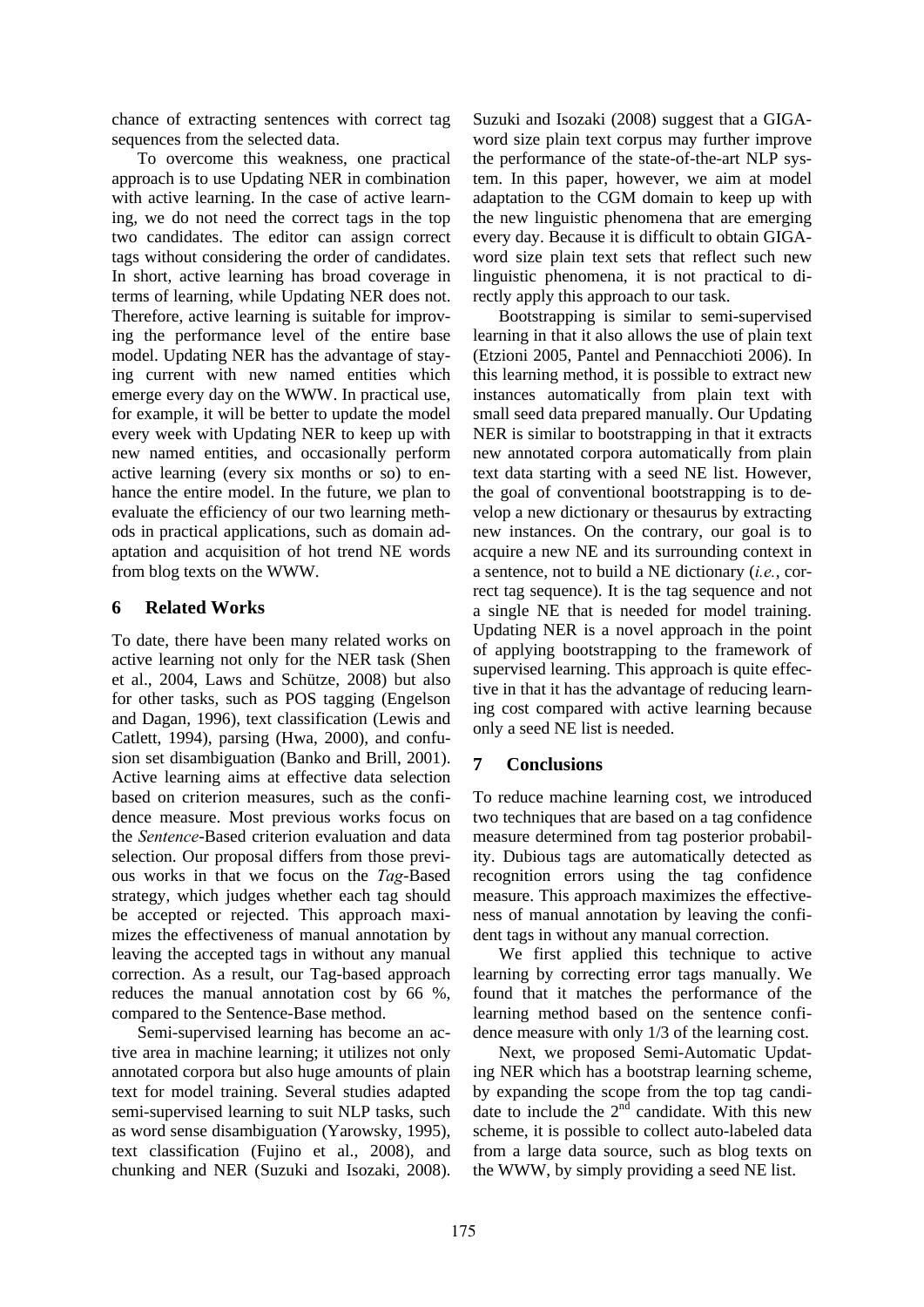chance of extracting sentences with correct tag sequences from the selected data.

To overcome this weakness, one practical approach is to use Updating NER in combination with active learning. In the case of active learning, we do not need the correct tags in the top two candidates. The editor can assign correct tags without considering the order of candidates. In short, active learning has broad coverage in terms of learning, while Updating NER does not. Therefore, active learning is suitable for improving the performance level of the entire base model. Updating NER has the advantage of staying current with new named entities which emerge every day on the WWW. In practical use, for example, it will be better to update the model every week with Updating NER to keep up with new named entities, and occasionally perform active learning (every six months or so) to enhance the entire model. In the future, we plan to evaluate the efficiency of our two learning methods in practical applications, such as domain adaptation and acquisition of hot trend NE words from blog texts on the WWW.

# **6 Related Works**

To date, there have been many related works on active learning not only for the NER task (Shen et al., 2004, Laws and Schütze, 2008) but also for other tasks, such as POS tagging (Engelson and Dagan, 1996), text classification (Lewis and Catlett, 1994), parsing (Hwa, 2000), and confusion set disambiguation (Banko and Brill, 2001). Active learning aims at effective data selection based on criterion measures, such as the confidence measure. Most previous works focus on the *Sentence*-Based criterion evaluation and data selection. Our proposal differs from those previous works in that we focus on the *Tag*-Based strategy, which judges whether each tag should be accepted or rejected. This approach maximizes the effectiveness of manual annotation by leaving the accepted tags in without any manual correction. As a result, our Tag-based approach reduces the manual annotation cost by 66 %, compared to the Sentence-Base method.

 Semi-supervised learning has become an active area in machine learning; it utilizes not only annotated corpora but also huge amounts of plain text for model training. Several studies adapted semi-supervised learning to suit NLP tasks, such as word sense disambiguation (Yarowsky, 1995), text classification (Fujino et al., 2008), and chunking and NER (Suzuki and Isozaki, 2008). Suzuki and Isozaki (2008) suggest that a GIGAword size plain text corpus may further improve the performance of the state-of-the-art NLP system. In this paper, however, we aim at model adaptation to the CGM domain to keep up with the new linguistic phenomena that are emerging every day. Because it is difficult to obtain GIGAword size plain text sets that reflect such new linguistic phenomena, it is not practical to directly apply this approach to our task.

 Bootstrapping is similar to semi-supervised learning in that it also allows the use of plain text (Etzioni 2005, Pantel and Pennacchioti 2006). In this learning method, it is possible to extract new instances automatically from plain text with small seed data prepared manually. Our Updating NER is similar to bootstrapping in that it extracts new annotated corpora automatically from plain text data starting with a seed NE list. However, the goal of conventional bootstrapping is to develop a new dictionary or thesaurus by extracting new instances. On the contrary, our goal is to acquire a new NE and its surrounding context in a sentence, not to build a NE dictionary (*i.e.*, correct tag sequence). It is the tag sequence and not a single NE that is needed for model training. Updating NER is a novel approach in the point of applying bootstrapping to the framework of supervised learning. This approach is quite effective in that it has the advantage of reducing learning cost compared with active learning because only a seed NE list is needed.

# **7 Conclusions**

To reduce machine learning cost, we introduced two techniques that are based on a tag confidence measure determined from tag posterior probability. Dubious tags are automatically detected as recognition errors using the tag confidence measure. This approach maximizes the effectiveness of manual annotation by leaving the confident tags in without any manual correction.

 We first applied this technique to active learning by correcting error tags manually. We found that it matches the performance of the learning method based on the sentence confidence measure with only 1/3 of the learning cost.

 Next, we proposed Semi-Automatic Updating NER which has a bootstrap learning scheme, by expanding the scope from the top tag candidate to include the  $2<sup>n</sup>$  candidate. With this new scheme, it is possible to collect auto-labeled data from a large data source, such as blog texts on the WWW, by simply providing a seed NE list.